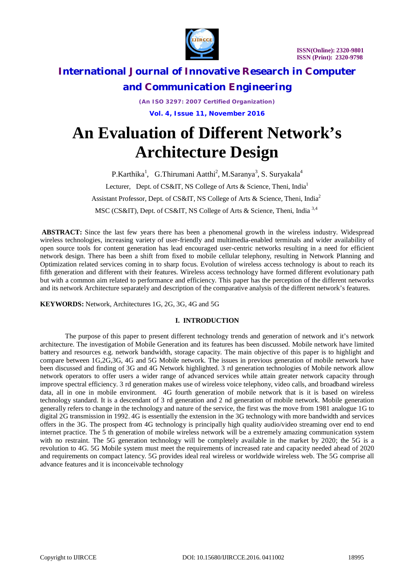

*(An ISO 3297: 2007 Certified Organization)* **Vol. 4, Issue 11, November 2016**

# **An Evaluation of Different Network's Architecture Design**

P.Karthika<sup>1</sup>, G.Thirumani Aatthi<sup>2</sup>, M.Saranya<sup>3</sup>, S. Suryakala<sup>4</sup> Lecturer, Dept. of CS&IT, NS College of Arts & Science, Theni, India<sup>1</sup> Assistant Professor, Dept. of CS&IT, NS College of Arts & Science, Theni, India<sup>2</sup> MSC (CS&IT), Dept. of CS&IT, NS College of Arts & Science, Theni, India 3,4

**ABSTRACT:** Since the last few years there has been a phenomenal growth in the wireless industry. Widespread wireless technologies, increasing variety of user-friendly and multimedia-enabled terminals and wider availability of open source tools for content generation has lead encouraged user-centric networks resulting in a need for efficient network design. There has been a shift from fixed to mobile cellular telephony, resulting in Network Planning and Optimization related services coming in to sharp focus. Evolution of wireless access technology is about to reach its fifth generation and different with their features. Wireless access technology have formed different evolutionary path but with a common aim related to performance and efficiency. This paper has the perception of the different networks and its network Architecture separately and description of the comparative analysis of the different network's features.

**KEYWORDS:** Network, Architectures 1G, 2G, 3G, 4G and 5G

### **I. INTRODUCTION**

The purpose of this paper to present different technology trends and generation of network and it's network architecture. The investigation of Mobile Generation and its features has been discussed. Mobile network have limited battery and resources e.g. network bandwidth, storage capacity. The main objective of this paper is to highlight and compare between 1G,2G,3G, 4G and 5G Mobile network. The issues in previous generation of mobile network have been discussed and finding of 3G and 4G Network highlighted. 3 rd generation technologies of Mobile network allow network operators to offer users a wider range of advanced services while attain greater network capacity through improve spectral efficiency. 3 rd generation makes use of wireless voice telephony, video calls, and broadband wireless data, all in one in mobile environment. 4G fourth generation of mobile network that is it is based on wireless technology standard. It is a descendant of 3 rd generation and 2 nd generation of mobile network. Mobile generation generally refers to change in the technology and nature of the service, the first was the move from 1981 analogue 1G to digital 2G transmission in 1992. 4G is essentially the extension in the 3G technology with more bandwidth and services offers in the 3G. The prospect from 4G technology is principally high quality audio/video streaming over end to end internet practice. The 5 th generation of mobile wireless network will be a extremely amazing communication system with no restraint. The 5G generation technology will be completely available in the market by 2020; the 5G is a revolution to 4G. 5G Mobile system must meet the requirements of increased rate and capacity needed ahead of 2020 and requirements on compact latency. 5G provides ideal real wireless or worldwide wireless web. The 5G comprise all advance features and it is inconceivable technology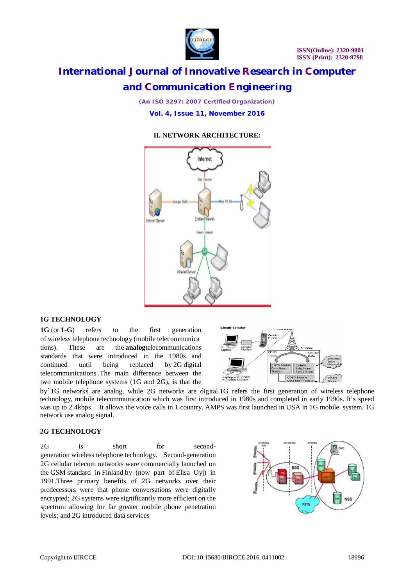

*(An ISO 3297: 2007 Certified Organization)* **Vol. 4, Issue 11, November 2016**

### **II. NETWORK ARCHITECTURE:**



#### **1G TECHNOLOGY**

**1G** (or **1-G**) refers to the first generation of wireless telephone technology (mobile telecommunica tions). These are the **analog**telecommunications standards that were introduced in the 1980s and continued until being replaced by 2G digital telecommunications .The main difference between the two mobile telephone systems (1G and 2G), is that the



by 1G networks are analog, while 2G networks are digital.1G refers the first generation of wireless telephone technology, mobile telecommunication which was first introduced in 1980s and completed in early 1990s. It's speed was up to 2.4kbps It allows the voice calls in 1 country. AMPS was first launched in USA in 1G mobile system. 1G network use analog signal.

#### **2G TECHNOLOGY**

2G is short for secondgeneration wireless telephone technology. Second-generation 2G cellular telecom networks were commercially launched on the GSM standard in Finland by (now part of Elisa Oyj) in 1991.Three primary benefits of 2G networks over their predecessors were that phone conversations were digitally encrypted; 2G systems were significantly more efficient on the spectrum allowing for far greater mobile phone penetration levels; and 2G introduced data services

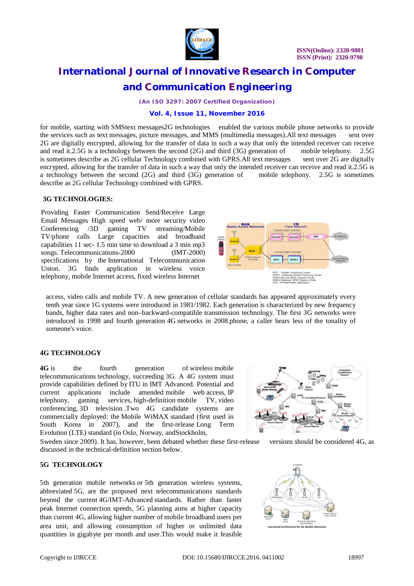

*(An ISO 3297: 2007 Certified Organization)*

#### **Vol. 4, Issue 11, November 2016**

for mobile, starting with SMStext messages2G technologies enabled the various mobile phone networks to provide the services such as text messages, picture messages, and MMS (multimedia messages).All text messages sent over 2G are digitally encrypted, allowing for the transfer of data in such a way that only the intended receiver can receive and read it.2.5G is a technology between the second (2G) and third (3G) generation of mobile telephony. 2.5G is sometimes describe as 2G cellular Technology combined with GPRS.All text messages sent over 2G are digitally is sometimes describe as 2G cellular Technology combined with GPRS.All text messages encrypted, allowing for the transfer of data in such a way that only the intended receiver can receive and read it.2.5G is a technology between the second (2G) and third (3G) generation of mobile telephony. 2.5G is sometimes describe as 2G cellular Technology combined with GPRS.

#### **3G TECHNOLOGIES:**

Providing Faster Communication Send/Receive Large Email Messages High speed web/ more security video Conferencing /3D gaming TV streaming/Mobile TV/phone calls Large capacities and broadband capabilities 11 sec- 1.5 min time to download a 3 min mp3 songs. Telecommunications-2000 (IMT-2000) specifications by the International Telecommunication Union. 3G finds application in wireless voice telephony, mobile Internet access, fixed wireless Internet



access, video calls and mobile TV. A new generation of cellular standards has appeared approximately every tenth year since 1G systems were introduced in 1981/1982. Each generation is characterized by new frequency bands, higher data rates and non–backward-compatible transmission technology. The first 3G networks were introduced in 1998 and fourth generation 4G networks in 2008.phone, a caller hears less of the tonality of someone's voice.

### **4G TECHNOLOGY**

**4G** is the fourth generation of wireless mobile telecommunications technology, succeeding 3G. A 4G system must provide capabilities defined by ITU in IMT Advanced. Potential and current applications include amended mobile web access, IP telephony, gaming services, high-definition mobile TV, video conferencing, 3D television .Two 4G candidate systems are commercially deployed: the Mobile WiMAX standard (first used in South Korea in 2007), and the first-release Long Term Evolution (LTE) standard (in Oslo, Norway, andStockholm,

Sweden since 2009). It has, however, been debated whether these first-release versions should be considered 4G, as discussed in the technical-definition section below.

### **5G TECHNOLOGY**

5th generation mobile networks or 5th generation wireless systems, abbreviated 5G, are the proposed next telecommunications standards beyond the current 4G/IMT-Advanced standards. Rather than faster peak Internet connection speeds, 5G planning aims at higher capacity than current 4G, allowing higher number of mobile broadband users per area unit, and allowing consumption of higher or unlimited data quantities in gigabyte per month and user.This would make it feasible





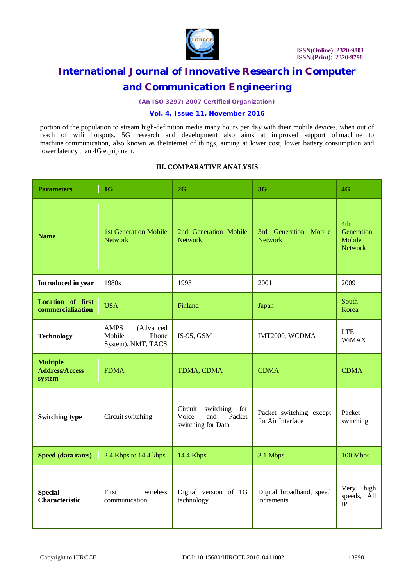

*(An ISO 3297: 2007 Certified Organization)*

## **Vol. 4, Issue 11, November 2016**

portion of the population to stream high-definition media many hours per day with their mobile devices, when out of reach of wifi hotspots. 5G research and development also aims at improved support of machine to machine communication, also known as theInternet of things, aiming at lower cost, lower battery consumption and lower latency than 4G equipment.

### **III. COMPARATIVE ANALYSIS**

| <b>Parameters</b>                                  | 1 <sub>G</sub>                                                    | 2G                                                                       | 3G                                           | 4G                                            |
|----------------------------------------------------|-------------------------------------------------------------------|--------------------------------------------------------------------------|----------------------------------------------|-----------------------------------------------|
| <b>Name</b>                                        | <b>1st Generation Mobile</b><br><b>Network</b>                    | 2nd Generation Mobile<br><b>Network</b>                                  | 3rd Generation Mobile<br><b>Network</b>      | 4th<br>Generation<br>Mobile<br><b>Network</b> |
| Introduced in year                                 | 1980s                                                             | 1993                                                                     | 2001                                         | 2009                                          |
| <b>Location of first</b><br>commercialization      | <b>USA</b>                                                        | Finland                                                                  | Japan                                        | South<br>Korea                                |
| <b>Technology</b>                                  | <b>AMPS</b><br>(Advanced<br>Phone<br>Mobile<br>System), NMT, TACS | $IS-95$ , GSM                                                            | IMT2000, WCDMA                               | LTE,<br><b>WiMAX</b>                          |
| <b>Multiple</b><br><b>Address/Access</b><br>system | <b>FDMA</b>                                                       | TDMA, CDMA                                                               | <b>CDMA</b>                                  | <b>CDMA</b>                                   |
| <b>Switching type</b>                              | Circuit switching                                                 | Circuit<br>switching for<br>Voice<br>Packet<br>and<br>switching for Data | Packet switching except<br>for Air Interface | Packet<br>switching                           |
| Speed (data rates)                                 | 2.4 Kbps to 14.4 kbps                                             | 14.4 Kbps                                                                | 3.1 Mbps                                     | 100 Mbps                                      |
| <b>Special</b><br><b>Characteristic</b>            | First<br>wireless<br>communication                                | Digital version of 1G<br>technology                                      | Digital broadband, speed<br>increments       | Very<br>high<br>speeds, All<br>$\rm IP$       |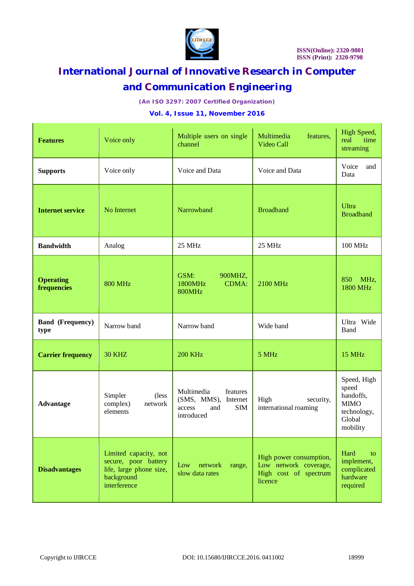

*(An ISO 3297: 2007 Certified Organization)*

### **Vol. 4, Issue 11, November 2016**

| <b>Features</b>                 | Voice only                                                                                             | Multiple users on single<br>channel                                                         | Multimedia<br>features,<br>Video Call                                                | High Speed,<br>real<br>time<br>streaming                                              |
|---------------------------------|--------------------------------------------------------------------------------------------------------|---------------------------------------------------------------------------------------------|--------------------------------------------------------------------------------------|---------------------------------------------------------------------------------------|
| <b>Supports</b>                 | Voice only                                                                                             | Voice and Data                                                                              | Voice and Data                                                                       | Voice<br>and<br>Data                                                                  |
| <b>Internet service</b>         | No Internet                                                                                            | Narrowband                                                                                  | <b>Broadband</b>                                                                     | Ultra<br><b>Broadband</b>                                                             |
| <b>Bandwidth</b>                | Analog                                                                                                 | 25 MHz                                                                                      | 25 MHz                                                                               | 100 MHz                                                                               |
| <b>Operating</b><br>frequencies | <b>800 MHz</b>                                                                                         | GSM:<br>900MHZ,<br>1800MHz<br><b>CDMA:</b><br><b>800MHz</b>                                 | 2100 MHz                                                                             | MHz,<br>850<br><b>1800 MHz</b>                                                        |
| <b>Band (Frequency)</b><br>type | Narrow band                                                                                            | Narrow band                                                                                 | Wide band                                                                            | Ultra Wide<br>Band                                                                    |
| <b>Carrier frequency</b>        | <b>30 KHZ</b>                                                                                          | <b>200 KHz</b>                                                                              | 5 MHz                                                                                | 15 MHz                                                                                |
| <b>Advantage</b>                | Simpler<br>(less<br>complex)<br>network<br>elements                                                    | Multimedia<br>features<br>(SMS, MMS), Internet<br><b>SIM</b><br>access<br>and<br>introduced | High<br>security,<br>international roaming                                           | Speed, High<br>speed<br>handoffs,<br><b>MIMO</b><br>technology,<br>Global<br>mobility |
| <b>Disadvantages</b>            | Limited capacity, not<br>secure, poor battery<br>life, large phone size,<br>background<br>interference | Low<br>network<br>range,<br>slow data rates                                                 | High power consumption,<br>Low network coverage,<br>High cost of spectrum<br>licence | Hard<br>to<br>implement,<br>complicated<br>hardware<br>required                       |